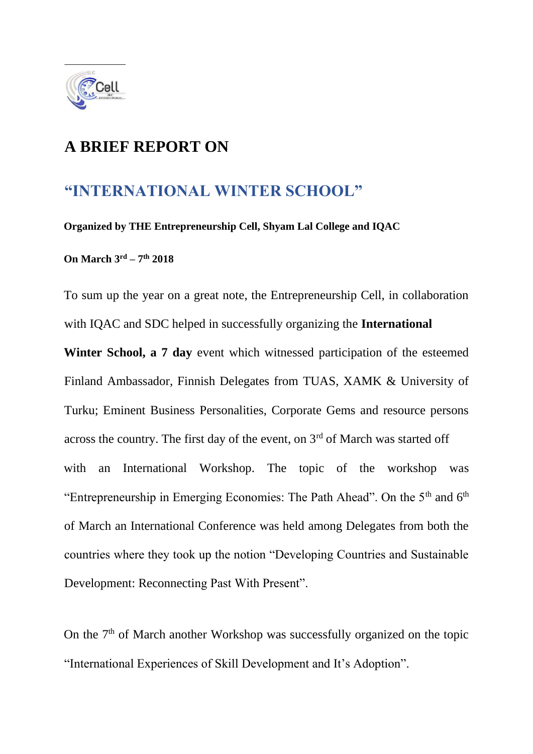

### **A BRIEF REPORT ON**

#### **"INTERNATIONAL WINTER SCHOOL"**

**Organized by THE Entrepreneurship Cell, Shyam Lal College and IQAC** 

**On March 3rd – 7 th 2018** 

To sum up the year on a great note, the Entrepreneurship Cell, in collaboration with IQAC and SDC helped in successfully organizing the **International Winter School, a 7 day** event which witnessed participation of the esteemed Finland Ambassador, Finnish Delegates from TUAS, XAMK & University of Turku; Eminent Business Personalities, Corporate Gems and resource persons across the country. The first day of the event, on  $3<sup>rd</sup>$  of March was started off with an International Workshop. The topic of the workshop was "Entrepreneurship in Emerging Economies: The Path Ahead". On the 5<sup>th</sup> and 6<sup>th</sup> of March an International Conference was held among Delegates from both the countries where they took up the notion "Developing Countries and Sustainable Development: Reconnecting Past With Present".

On the  $7<sup>th</sup>$  of March another Workshop was successfully organized on the topic "International Experiences of Skill Development and It's Adoption".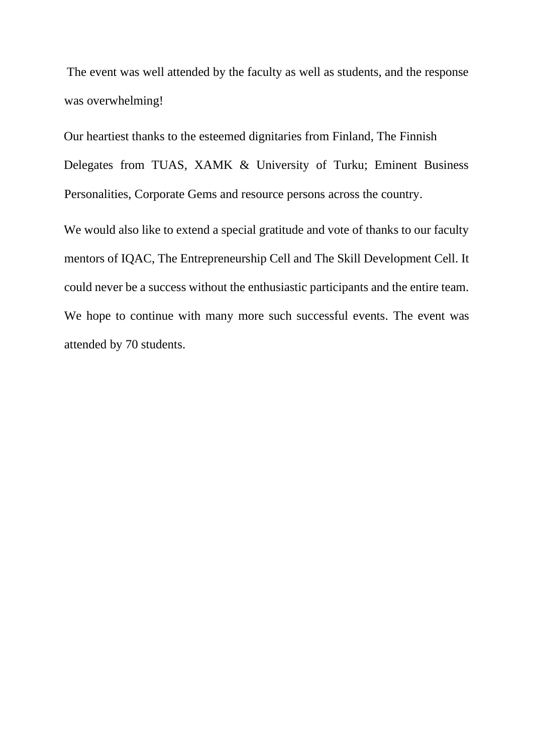The event was well attended by the faculty as well as students, and the response was overwhelming!

Our heartiest thanks to the esteemed dignitaries from Finland, The Finnish Delegates from TUAS, XAMK & University of Turku; Eminent Business Personalities, Corporate Gems and resource persons across the country.

We would also like to extend a special gratitude and vote of thanks to our faculty mentors of IQAC, The Entrepreneurship Cell and The Skill Development Cell. It could never be a success without the enthusiastic participants and the entire team. We hope to continue with many more such successful events. The event was attended by 70 students.